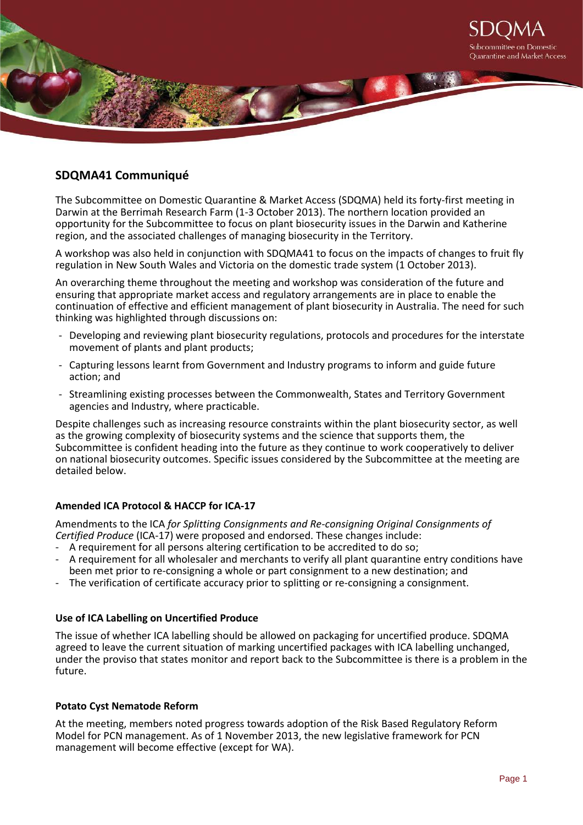

# **SDQMA41 Communiqué**

The Subcommittee on Domestic Quarantine & Market Access (SDQMA) held its forty-first meeting in Darwin at the Berrimah Research Farm (1-3 October 2013). The northern location provided an opportunity for the Subcommittee to focus on plant biosecurity issues in the Darwin and Katherine region, and the associated challenges of managing biosecurity in the Territory.

A workshop was also held in conjunction with SDQMA41 to focus on the impacts of changes to fruit fly regulation in New South Wales and Victoria on the domestic trade system (1 October 2013).

An overarching theme throughout the meeting and workshop was consideration of the future and ensuring that appropriate market access and regulatory arrangements are in place to enable the continuation of effective and efficient management of plant biosecurity in Australia. The need for such thinking was highlighted through discussions on:

- Developing and reviewing plant biosecurity regulations, protocols and procedures for the interstate movement of plants and plant products;
- Capturing lessons learnt from Government and Industry programs to inform and guide future action; and
- Streamlining existing processes between the Commonwealth, States and Territory Government agencies and Industry, where practicable.

Despite challenges such as increasing resource constraints within the plant biosecurity sector, as well as the growing complexity of biosecurity systems and the science that supports them, the Subcommittee is confident heading into the future as they continue to work cooperatively to deliver on national biosecurity outcomes. Specific issues considered by the Subcommittee at the meeting are detailed below.

# **Amended ICA Protocol & HACCP for ICA-17**

Amendments to the ICA *for Splitting Consignments and Re-consigning Original Consignments of Certified Produce* (ICA-17) were proposed and endorsed. These changes include:

- A requirement for all persons altering certification to be accredited to do so;
- A requirement for all wholesaler and merchants to verify all plant quarantine entry conditions have been met prior to re-consigning a whole or part consignment to a new destination; and
- The verification of certificate accuracy prior to splitting or re-consigning a consignment.

# **Use of ICA Labelling on Uncertified Produce**

The issue of whether ICA labelling should be allowed on packaging for uncertified produce. SDQMA agreed to leave the current situation of marking uncertified packages with ICA labelling unchanged, under the proviso that states monitor and report back to the Subcommittee is there is a problem in the future.

### **Potato Cyst Nematode Reform**

At the meeting, members noted progress towards adoption of the Risk Based Regulatory Reform Model for PCN management. As of 1 November 2013, the new legislative framework for PCN management will become effective (except for WA).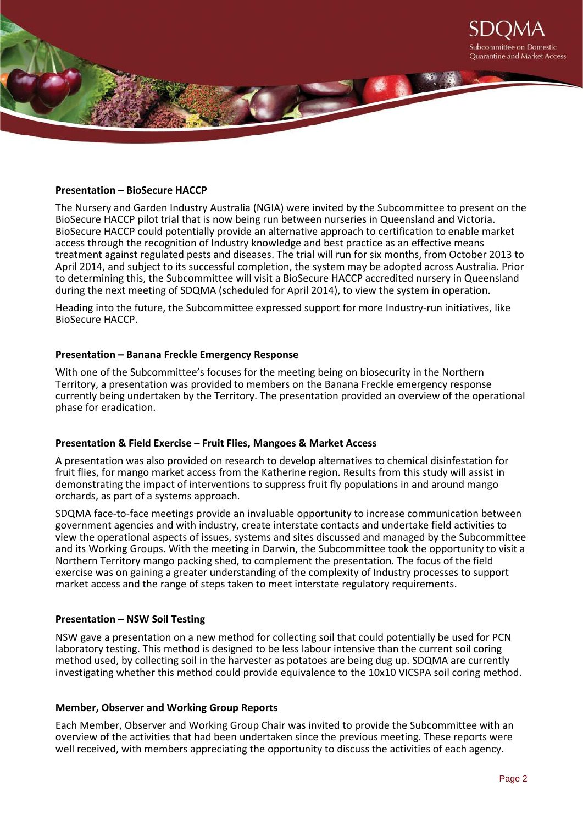

# **Presentation – BioSecure HACCP**

The Nursery and Garden Industry Australia (NGIA) were invited by the Subcommittee to present on the BioSecure HACCP pilot trial that is now being run between nurseries in Queensland and Victoria. BioSecure HACCP could potentially provide an alternative approach to certification to enable market access through the recognition of Industry knowledge and best practice as an effective means treatment against regulated pests and diseases. The trial will run for six months, from October 2013 to April 2014, and subject to its successful completion, the system may be adopted across Australia. Prior to determining this, the Subcommittee will visit a BioSecure HACCP accredited nursery in Queensland during the next meeting of SDQMA (scheduled for April 2014), to view the system in operation.

Heading into the future, the Subcommittee expressed support for more Industry-run initiatives, like BioSecure HACCP.

#### **Presentation – Banana Freckle Emergency Response**

With one of the Subcommittee's focuses for the meeting being on biosecurity in the Northern Territory, a presentation was provided to members on the Banana Freckle emergency response currently being undertaken by the Territory. The presentation provided an overview of the operational phase for eradication.

### **Presentation & Field Exercise – Fruit Flies, Mangoes & Market Access**

A presentation was also provided on research to develop alternatives to chemical disinfestation for fruit flies, for mango market access from the Katherine region. Results from this study will assist in demonstrating the impact of interventions to suppress fruit fly populations in and around mango orchards, as part of a systems approach.

SDQMA face-to-face meetings provide an invaluable opportunity to increase communication between government agencies and with industry, create interstate contacts and undertake field activities to view the operational aspects of issues, systems and sites discussed and managed by the Subcommittee and its Working Groups. With the meeting in Darwin, the Subcommittee took the opportunity to visit a Northern Territory mango packing shed, to complement the presentation. The focus of the field exercise was on gaining a greater understanding of the complexity of Industry processes to support market access and the range of steps taken to meet interstate regulatory requirements.

### **Presentation – NSW Soil Testing**

NSW gave a presentation on a new method for collecting soil that could potentially be used for PCN laboratory testing. This method is designed to be less labour intensive than the current soil coring method used, by collecting soil in the harvester as potatoes are being dug up. SDQMA are currently investigating whether this method could provide equivalence to the 10x10 VICSPA soil coring method.

#### **Member, Observer and Working Group Reports**

Each Member, Observer and Working Group Chair was invited to provide the Subcommittee with an overview of the activities that had been undertaken since the previous meeting. These reports were well received, with members appreciating the opportunity to discuss the activities of each agency.